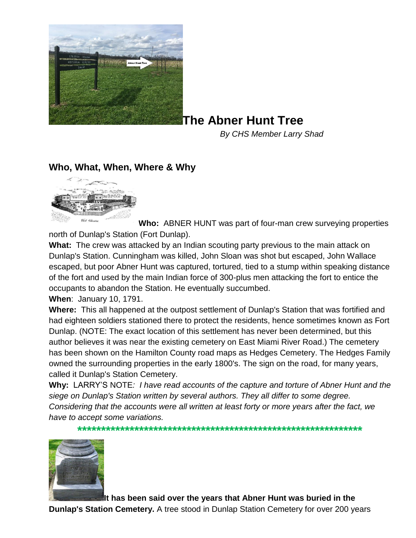

## **The Abner Hunt Tree**

*By CHS Member Larry Shad* 

## **Who, What, When, Where & Why**



**Who:** ABNER HUNT was part of four-man crew surveying properties north of Dunlap's Station (Fort Dunlap).

**What:** The crew was attacked by an Indian scouting party previous to the main attack on Dunlap's Station. Cunningham was killed, John Sloan was shot but escaped, John Wallace escaped, but poor Abner Hunt was captured, tortured, tied to a stump within speaking distance of the fort and used by the main Indian force of 300-plus men attacking the fort to entice the occupants to abandon the Station. He eventually succumbed.

**When**: January 10, 1791.

**Where:** This all happened at the outpost settlement of Dunlap's Station that was fortified and had eighteen soldiers stationed there to protect the residents, hence sometimes known as Fort Dunlap. (NOTE: The exact location of this settlement has never been determined, but this author believes it was near the existing cemetery on East Miami River Road.) The cemetery has been shown on the Hamilton County road maps as Hedges Cemetery. The Hedges Family owned the surrounding properties in the early 1800's. The sign on the road, for many years, called it Dunlap's Station Cemetery.

**Why:** LARRY'S NOTE*: I have read accounts of the capture and torture of Abner Hunt and the siege on Dunlap's Station written by several authors. They all differ to some degree. Considering that the accounts were all written at least forty or more years after the fact, we have to accept some variations.* 

**\*\*\*\*\*\*\*\*\*\*\*\*\*\*\*\*\*\*\*\*\*\*\*\*\*\*\*\*\*\*\*\*\*\*\*\*\*\*\*\*\*\*\*\*\*\*\*\*\*\*\*\*\*\*\*\*\*\*\*\***



**It has been said over the years that Abner Hunt was buried in the** 

**Dunlap's Station Cemetery.** A tree stood in Dunlap Station Cemetery for over 200 years